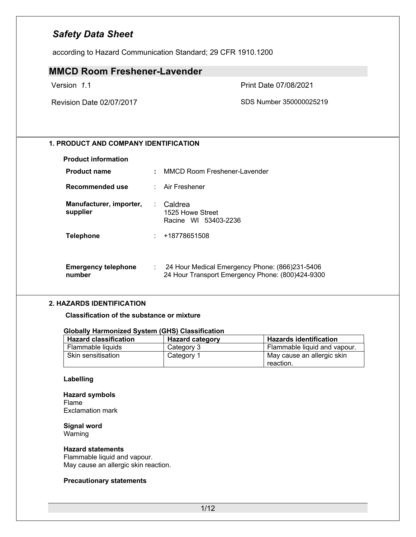according to Hazard Communication Standard; 29 CFR 1910.1200

### **MMCD Room Freshener-Lavender**

Version *1*.1 Print Date 07/08/2021

Revision Date 02/07/2017 SDS Number 350000025219

### **1. PRODUCT AND COMPANY IDENTIFICATION**

|  | <b>Product information</b> |  |
|--|----------------------------|--|
|--|----------------------------|--|

| <b>Product name</b>                  |    | MMCD Room Freshener-Lavender                                                                       |
|--------------------------------------|----|----------------------------------------------------------------------------------------------------|
| Recommended use                      |    | : Air Freshener                                                                                    |
| Manufacturer, importer,<br>supplier  | ÷. | Caldrea<br>1525 Howe Street<br>Racine WI 53403-2236                                                |
| <b>Telephone</b>                     |    | : +18778651508                                                                                     |
| <b>Emergency telephone</b><br>number |    | 24 Hour Medical Emergency Phone: (866)231-5406<br>24 Hour Transport Emergency Phone: (800)424-9300 |

#### **2. HAZARDS IDENTIFICATION**

**Classification of the substance or mixture**

#### **Globally Harmonized System (GHS) Classification**

| <b>Hazard classification</b> | <b>Hazard category</b> | <b>Hazards identification</b> |
|------------------------------|------------------------|-------------------------------|
| Flammable liquids            | Category 3             | Flammable liquid and vapour.  |
| Skin sensitisation           | Category 1             | May cause an allergic skin    |
|                              |                        | reaction.                     |

#### **Labelling**

**Hazard symbols** Flame Exclamation mark

**Signal word** Warning

#### **Hazard statements**

Flammable liquid and vapour. May cause an allergic skin reaction.

#### **Precautionary statements**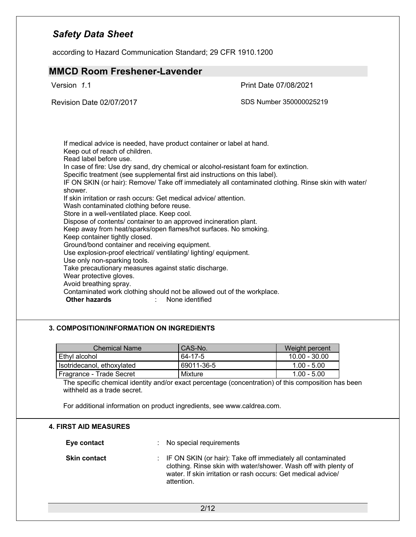according to Hazard Communication Standard; 29 CFR 1910.1200

| Version 1.1                                                                                                                                                                                                                                                                                                                                                                                                                                                                                                                                                                                                                                                                                                                                                                            | Print Date 07/08/2021                                                                                |
|----------------------------------------------------------------------------------------------------------------------------------------------------------------------------------------------------------------------------------------------------------------------------------------------------------------------------------------------------------------------------------------------------------------------------------------------------------------------------------------------------------------------------------------------------------------------------------------------------------------------------------------------------------------------------------------------------------------------------------------------------------------------------------------|------------------------------------------------------------------------------------------------------|
| Revision Date 02/07/2017                                                                                                                                                                                                                                                                                                                                                                                                                                                                                                                                                                                                                                                                                                                                                               | SDS Number 350000025219                                                                              |
| If medical advice is needed, have product container or label at hand.<br>Keep out of reach of children.<br>Read label before use.<br>In case of fire: Use dry sand, dry chemical or alcohol-resistant foam for extinction.<br>Specific treatment (see supplemental first aid instructions on this label).<br>shower.<br>If skin irritation or rash occurs: Get medical advice/attention.<br>Wash contaminated clothing before reuse.<br>Store in a well-ventilated place. Keep cool.<br>Dispose of contents/ container to an approved incineration plant.<br>Keep away from heat/sparks/open flames/hot surfaces. No smoking.<br>Keep container tightly closed.<br>Ground/bond container and receiving equipment.<br>Use explosion-proof electrical/ ventilating/ lighting/ equipment. | IF ON SKIN (or hair): Remove/ Take off immediately all contaminated clothing. Rinse skin with water/ |
| Use only non-sparking tools.<br>Take precautionary measures against static discharge.<br>Wear protective gloves.                                                                                                                                                                                                                                                                                                                                                                                                                                                                                                                                                                                                                                                                       |                                                                                                      |
| Avoid breathing spray.                                                                                                                                                                                                                                                                                                                                                                                                                                                                                                                                                                                                                                                                                                                                                                 | Contaminated work clothing should not be allowed out of the workplace.<br>None identified            |

| <b>Chemical Name</b>       | CAS-No.    | Weight percent  |
|----------------------------|------------|-----------------|
| Ethyl alcohol              | 64-17-5    | $10.00 - 30.00$ |
| Isotridecanol, ethoxylated | 69011-36-5 | $1.00 - 5.00$   |
| Fragrance - Trade Secret   | Mixture    | $1.00 - 5.00$   |

The specific chemical identity and/or exact percentage (concentration) of this composition has been withheld as a trade secret.

For additional information on product ingredients, see www.caldrea.com.

#### **4. FIRST AID MEASURES**

| Eye contact         | : No special requirements                                                                                                                                                                                       |
|---------------------|-----------------------------------------------------------------------------------------------------------------------------------------------------------------------------------------------------------------|
| <b>Skin contact</b> | : IF ON SKIN (or hair): Take off immediately all contaminated<br>clothing. Rinse skin with water/shower. Wash off with plenty of<br>water. If skin irritation or rash occurs: Get medical advice/<br>attention. |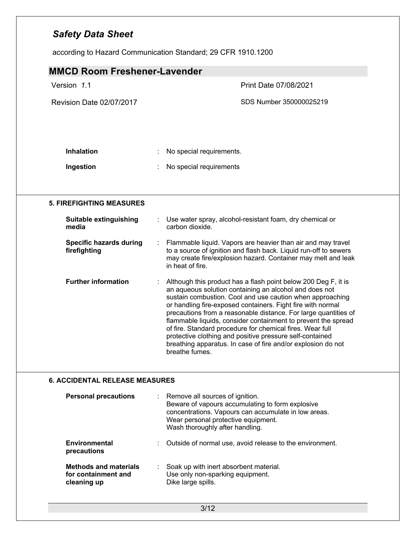according to Hazard Communication Standard; 29 CFR 1910.1200

| <b>MMCD Room Freshener-Lavender</b>            |                                                                                                                                                                                                                                                                                                                                                                                                                                                                                                                                                                                                     |  |
|------------------------------------------------|-----------------------------------------------------------------------------------------------------------------------------------------------------------------------------------------------------------------------------------------------------------------------------------------------------------------------------------------------------------------------------------------------------------------------------------------------------------------------------------------------------------------------------------------------------------------------------------------------------|--|
|                                                |                                                                                                                                                                                                                                                                                                                                                                                                                                                                                                                                                                                                     |  |
| Version 1.1                                    | Print Date 07/08/2021                                                                                                                                                                                                                                                                                                                                                                                                                                                                                                                                                                               |  |
| <b>Revision Date 02/07/2017</b>                | SDS Number 350000025219                                                                                                                                                                                                                                                                                                                                                                                                                                                                                                                                                                             |  |
|                                                |                                                                                                                                                                                                                                                                                                                                                                                                                                                                                                                                                                                                     |  |
|                                                |                                                                                                                                                                                                                                                                                                                                                                                                                                                                                                                                                                                                     |  |
| <b>Inhalation</b>                              | No special requirements.                                                                                                                                                                                                                                                                                                                                                                                                                                                                                                                                                                            |  |
| Ingestion                                      | No special requirements                                                                                                                                                                                                                                                                                                                                                                                                                                                                                                                                                                             |  |
| <b>5. FIREFIGHTING MEASURES</b>                |                                                                                                                                                                                                                                                                                                                                                                                                                                                                                                                                                                                                     |  |
| <b>Suitable extinguishing</b><br>media         | Use water spray, alcohol-resistant foam, dry chemical or<br>carbon dioxide.                                                                                                                                                                                                                                                                                                                                                                                                                                                                                                                         |  |
| <b>Specific hazards during</b><br>firefighting | Flammable liquid. Vapors are heavier than air and may travel<br>to a source of ignition and flash back. Liquid run-off to sewers<br>may create fire/explosion hazard. Container may melt and leak<br>in heat of fire.                                                                                                                                                                                                                                                                                                                                                                               |  |
| <b>Further information</b>                     | Although this product has a flash point below 200 Deg F, it is<br>an aqueous solution containing an alcohol and does not<br>sustain combustion. Cool and use caution when approaching<br>or handling fire-exposed containers. Fight fire with normal<br>precautions from a reasonable distance. For large quantities of<br>flammable liquids, consider containment to prevent the spread<br>of fire. Standard procedure for chemical fires. Wear full<br>protective clothing and positive pressure self-contained<br>breathing apparatus. In case of fire and/or explosion do not<br>breathe fumes. |  |
| <b>6. ACCIDENTAL RELEASE MEASURES</b>          |                                                                                                                                                                                                                                                                                                                                                                                                                                                                                                                                                                                                     |  |
| <b>Personal precautions</b>                    | Remove all sources of ignition.<br>Beware of vapours accumulating to form explosive<br>concentrations. Vapours can accumulate in low areas.<br>Wear personal protective equipment.<br>Wash thoroughly after handling.                                                                                                                                                                                                                                                                                                                                                                               |  |
|                                                |                                                                                                                                                                                                                                                                                                                                                                                                                                                                                                                                                                                                     |  |
| Environmental<br>precautions                   | Outside of normal use, avoid release to the environment.                                                                                                                                                                                                                                                                                                                                                                                                                                                                                                                                            |  |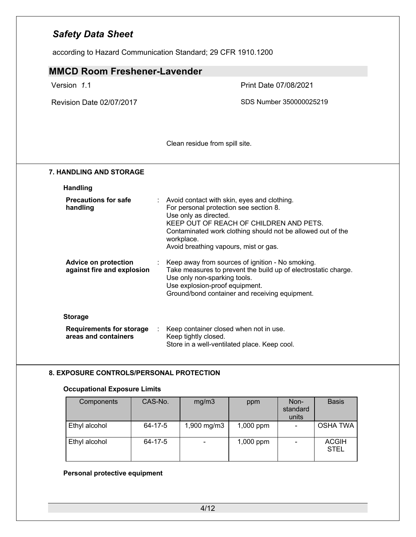according to Hazard Communication Standard; 29 CFR 1910.1200

| <b>MMCD Room Freshener-Lavender</b>                                       |                                                                                                                                                                                                                                                                                   |  |
|---------------------------------------------------------------------------|-----------------------------------------------------------------------------------------------------------------------------------------------------------------------------------------------------------------------------------------------------------------------------------|--|
| Version 1.1                                                               | Print Date 07/08/2021                                                                                                                                                                                                                                                             |  |
| <b>Revision Date 02/07/2017</b>                                           | SDS Number 350000025219                                                                                                                                                                                                                                                           |  |
|                                                                           |                                                                                                                                                                                                                                                                                   |  |
|                                                                           | Clean residue from spill site.                                                                                                                                                                                                                                                    |  |
| <b>7. HANDLING AND STORAGE</b>                                            |                                                                                                                                                                                                                                                                                   |  |
| <b>Handling</b>                                                           |                                                                                                                                                                                                                                                                                   |  |
| <b>Precautions for safe</b><br>handling                                   | : Avoid contact with skin, eyes and clothing.<br>For personal protection see section 8.<br>Use only as directed.<br>KEEP OUT OF REACH OF CHILDREN AND PETS.<br>Contaminated work clothing should not be allowed out of the<br>workplace.<br>Avoid breathing vapours, mist or gas. |  |
| <b>Advice on protection</b><br>against fire and explosion                 | Keep away from sources of ignition - No smoking.<br>Take measures to prevent the build up of electrostatic charge.<br>Use only non-sparking tools.<br>Use explosion-proof equipment.<br>Ground/bond container and receiving equipment.                                            |  |
| <b>Storage</b><br><b>Requirements for storage</b><br>areas and containers | Keep container closed when not in use.<br>÷.<br>Keep tightly closed.<br>Store in a well-ventilated place. Keep cool.                                                                                                                                                              |  |

### **8. EXPOSURE CONTROLS/PERSONAL PROTECTION**

### **Occupational Exposure Limits**

| Components    | CAS-No. | mg/m3       | ppm         | Non-<br>standard<br>units | <b>Basis</b>                |
|---------------|---------|-------------|-------------|---------------------------|-----------------------------|
| Ethyl alcohol | 64-17-5 | 1,900 mg/m3 | $1,000$ ppm |                           | <b>OSHA TWA</b>             |
| Ethyl alcohol | 64-17-5 |             | $1,000$ ppm |                           | <b>ACGIH</b><br><b>STEL</b> |

### **Personal protective equipment**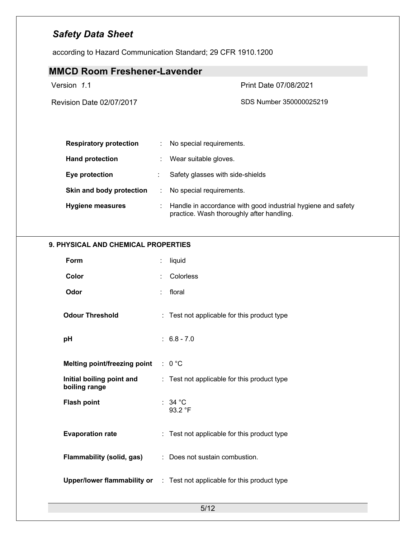according to Hazard Communication Standard; 29 CFR 1910.1200

| <b>MMCD Room Freshener-Lavender</b>        |                                                                                                                |
|--------------------------------------------|----------------------------------------------------------------------------------------------------------------|
| Version 1.1                                | Print Date 07/08/2021                                                                                          |
| <b>Revision Date 02/07/2017</b>            | SDS Number 350000025219                                                                                        |
|                                            |                                                                                                                |
| <b>Respiratory protection</b>              | No special requirements.<br>÷                                                                                  |
| <b>Hand protection</b>                     | Wear suitable gloves.                                                                                          |
| Eye protection                             | Safety glasses with side-shields<br>t                                                                          |
| Skin and body protection                   | No special requirements.<br>÷                                                                                  |
| <b>Hygiene measures</b>                    | Handle in accordance with good industrial hygiene and safety<br>÷<br>practice. Wash thoroughly after handling. |
|                                            |                                                                                                                |
| 9. PHYSICAL AND CHEMICAL PROPERTIES        |                                                                                                                |
| Form                                       | liquid                                                                                                         |
| Color                                      | Colorless                                                                                                      |
| Odor                                       | floral                                                                                                         |
| <b>Odour Threshold</b>                     | : Test not applicable for this product type                                                                    |
| pH                                         | $: 6.8 - 7.0$                                                                                                  |
| <b>Melting point/freezing point</b>        | $\therefore$ 0 °C                                                                                              |
| Initial boiling point and<br>boiling range | : Test not applicable for this product type                                                                    |
| <b>Flash point</b>                         | : 34 °C<br>93.2 °F                                                                                             |
| <b>Evaporation rate</b>                    | : Test not applicable for this product type                                                                    |
|                                            |                                                                                                                |
| Flammability (solid, gas)                  | : Does not sustain combustion.                                                                                 |
|                                            | Upper/lower flammability or : Test not applicable for this product type                                        |
|                                            |                                                                                                                |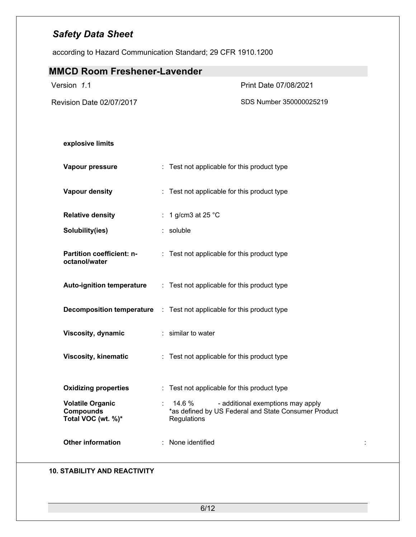according to Hazard Communication Standard; 29 CFR 1910.1200

| <b>MMCD Room Freshener-Lavender</b>                               |                                                                                                                    |
|-------------------------------------------------------------------|--------------------------------------------------------------------------------------------------------------------|
| Version 1.1                                                       | Print Date 07/08/2021                                                                                              |
| Revision Date 02/07/2017                                          | SDS Number 350000025219                                                                                            |
|                                                                   |                                                                                                                    |
| explosive limits                                                  |                                                                                                                    |
| Vapour pressure                                                   | : Test not applicable for this product type                                                                        |
| <b>Vapour density</b>                                             | : Test not applicable for this product type                                                                        |
| <b>Relative density</b>                                           | : 1 g/cm3 at 25 $^{\circ}$ C                                                                                       |
| Solubility(ies)                                                   | : soluble                                                                                                          |
| Partition coefficient: n-<br>octanol/water                        | : Test not applicable for this product type                                                                        |
| <b>Auto-ignition temperature</b>                                  | : Test not applicable for this product type                                                                        |
|                                                                   | <b>Decomposition temperature</b> : Test not applicable for this product type                                       |
| Viscosity, dynamic                                                | : similar to water                                                                                                 |
| <b>Viscosity, kinematic</b>                                       | : Test not applicable for this product type                                                                        |
| <b>Oxidizing properties</b>                                       | : Test not applicable for this product type                                                                        |
| <b>Volatile Organic</b><br><b>Compounds</b><br>Total VOC (wt. %)* | 14.6 %<br>- additional exemptions may apply<br>*as defined by US Federal and State Consumer Product<br>Regulations |
| <b>Other information</b>                                          | : None identified                                                                                                  |

### **10. STABILITY AND REACTIVITY**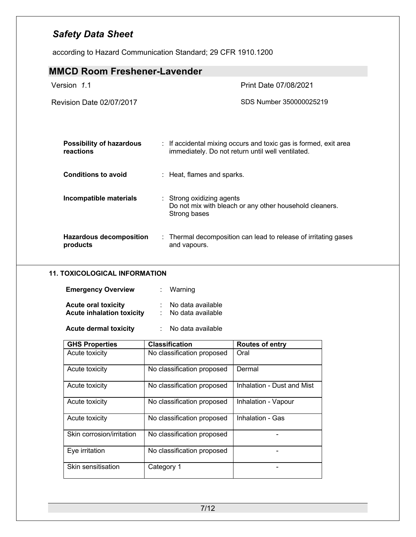according to Hazard Communication Standard; 29 CFR 1910.1200

| <b>MMCD Room Freshener-Lavender</b>                            |                                                                                                                       |  |
|----------------------------------------------------------------|-----------------------------------------------------------------------------------------------------------------------|--|
| Version 1.1                                                    | Print Date 07/08/2021                                                                                                 |  |
| <b>Revision Date 02/07/2017</b>                                | SDS Number 350000025219                                                                                               |  |
|                                                                |                                                                                                                       |  |
| <b>Possibility of hazardous</b><br>reactions                   | : If accidental mixing occurs and toxic gas is formed, exit area<br>immediately. Do not return until well ventilated. |  |
| <b>Conditions to avoid</b>                                     | : Heat, flames and sparks.                                                                                            |  |
| Incompatible materials                                         | : Strong oxidizing agents<br>Do not mix with bleach or any other household cleaners.<br>Strong bases                  |  |
| <b>Hazardous decomposition</b><br>products                     | : Thermal decomposition can lead to release of irritating gases<br>and vapours.                                       |  |
| <b>11. TOXICOLOGICAL INFORMATION</b>                           |                                                                                                                       |  |
| <b>Emergency Overview</b>                                      | Warning                                                                                                               |  |
| <b>Acute oral toxicity</b><br><b>Acute inhalation toxicity</b> | : No data available<br>No data available                                                                              |  |
|                                                                | No data available                                                                                                     |  |

| <b>GHS Properties</b>     | <b>Classification</b>      | <b>Routes of entry</b>     |
|---------------------------|----------------------------|----------------------------|
| Acute toxicity            | No classification proposed | Oral                       |
| Acute toxicity            | No classification proposed | Dermal                     |
| Acute toxicity            | No classification proposed | Inhalation - Dust and Mist |
| Acute toxicity            | No classification proposed | Inhalation - Vapour        |
| Acute toxicity            | No classification proposed | Inhalation - Gas           |
| Skin corrosion/irritation | No classification proposed |                            |
| Eye irritation            | No classification proposed |                            |
| Skin sensitisation        | Category 1                 |                            |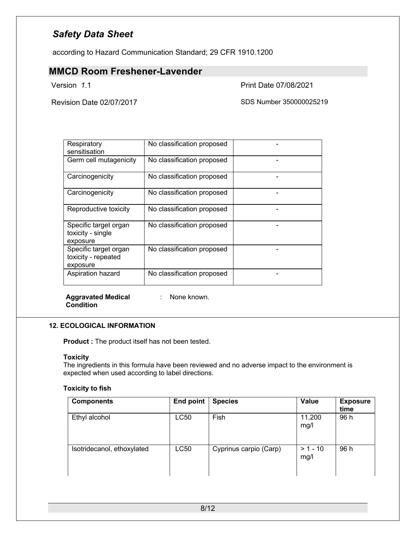according to Hazard Communication Standard; 29 CFR 1910.1200

## **MMCD Room Freshener-Lavender**

Version *1*.1 Print Date 07/08/2021

Revision Date 02/07/2017 SDS Number 350000025219

| Respiratory<br>sensitisation                             | No classification proposed |  |
|----------------------------------------------------------|----------------------------|--|
| Germ cell mutagenicity                                   | No classification proposed |  |
| Carcinogenicity                                          | No classification proposed |  |
| Carcinogenicity                                          | No classification proposed |  |
| Reproductive toxicity                                    | No classification proposed |  |
| Specific target organ<br>toxicity - single<br>exposure   | No classification proposed |  |
| Specific target organ<br>toxicity - repeated<br>exposure | No classification proposed |  |
| Aspiration hazard                                        | No classification proposed |  |

**Aggravated Medical Condition**

: None known.

### **12. ECOLOGICAL INFORMATION**

**Product :** The product itself has not been tested.

#### **Toxicity**

The ingredients in this formula have been reviewed and no adverse impact to the environment is expected when used according to label directions.

#### **Toxicity to fish**

| <b>Components</b>          | End point   | <b>Species</b>         | Value              | <b>Exposure</b><br>time |
|----------------------------|-------------|------------------------|--------------------|-------------------------|
| Ethyl alcohol              | LC50        | Fish                   | 11,200<br>mg/l     | 96 h                    |
| Isotridecanol, ethoxylated | <b>LC50</b> | Cyprinus carpio (Carp) | $> 1 - 10$<br>mg/l | 96 h                    |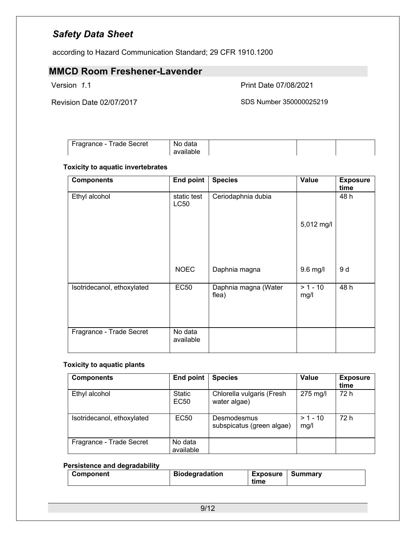according to Hazard Communication Standard; 29 CFR 1910.1200

## **MMCD Room Freshener-Lavender**

Version *1*.1 Print Date 07/08/2021

Revision Date 02/07/2017 SDS Number 350000025219

| Trade Secret<br>-ragrance - | No data<br>10 H |  |  |
|-----------------------------|-----------------|--|--|
|-----------------------------|-----------------|--|--|

**Toxicity to aquatic invertebrates**

| <b>Components</b>          | <b>End point</b>           | <b>Species</b>                | Value              | <b>Exposure</b><br>time |
|----------------------------|----------------------------|-------------------------------|--------------------|-------------------------|
| Ethyl alcohol              | static test<br><b>LC50</b> | Ceriodaphnia dubia            |                    | 48 h                    |
|                            |                            |                               | 5,012 mg/l         |                         |
|                            | <b>NOEC</b>                | Daphnia magna                 | 9.6 mg/l           | 9 d                     |
| Isotridecanol, ethoxylated | <b>EC50</b>                | Daphnia magna (Water<br>flea) | $> 1 - 10$<br>mg/l | 48 h                    |
| Fragrance - Trade Secret   | No data<br>available       |                               |                    |                         |

#### **Toxicity to aquatic plants**

| <b>Components</b>          | End point                         | <b>Species</b>                            | Value              | <b>Exposure</b><br>time |
|----------------------------|-----------------------------------|-------------------------------------------|--------------------|-------------------------|
| Ethyl alcohol              | <b>Static</b><br>EC <sub>50</sub> | Chlorella vulgaris (Fresh<br>water algae) | 275 mg/l           | 72 h                    |
| Isotridecanol, ethoxylated | <b>EC50</b>                       | Desmodesmus<br>subspicatus (green algae)  | $> 1 - 10$<br>mg/l | 72 h                    |
| Fragrance - Trade Secret   | No data<br>available              |                                           |                    |                         |

### **Persistence and degradability**

| <b>Component</b> | <b>Biodegradation</b> | Exposure<br>time | Summarv |
|------------------|-----------------------|------------------|---------|
|------------------|-----------------------|------------------|---------|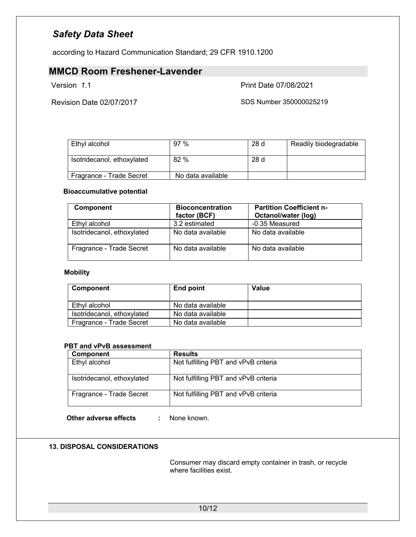according to Hazard Communication Standard; 29 CFR 1910.1200

## **MMCD Room Freshener-Lavender**

Version *1*.1 Print Date 07/08/2021

Revision Date 02/07/2017 SDS Number 350000025219

| Ethyl alcohol              | 97%               | 28d | Readily biodegradable |
|----------------------------|-------------------|-----|-----------------------|
| Isotridecanol, ethoxylated | 82%               | 28d |                       |
| Fragrance - Trade Secret   | No data available |     |                       |

#### **Bioaccumulative potential**

| <b>Component</b>           | <b>Bioconcentration</b><br>factor (BCF) | <b>Partition Coefficient n-</b><br>Octanol/water (log) |
|----------------------------|-----------------------------------------|--------------------------------------------------------|
| Ethyl alcohol              | 3.2 estimated                           | -0.35 Measured                                         |
| Isotridecanol, ethoxylated | No data available                       | No data available                                      |
| Fragrance - Trade Secret   | No data available                       | No data available                                      |

#### **Mobility**

| Component                  | <b>End point</b>  | <b>Value</b> |
|----------------------------|-------------------|--------------|
| Ethyl alcohol              | No data available |              |
| Isotridecanol, ethoxylated | No data available |              |
| Fragrance - Trade Secret   | No data available |              |

#### **PBT and vPvB assessment**

| <b>Component</b>           | <b>Results</b>                       |
|----------------------------|--------------------------------------|
| Ethyl alcohol              | Not fulfilling PBT and vPvB criteria |
| Isotridecanol, ethoxylated | Not fulfilling PBT and vPvB criteria |
| Fragrance - Trade Secret   | Not fulfilling PBT and vPvB criteria |

**Other adverse effects :** None known.

#### **13. DISPOSAL CONSIDERATIONS**

Consumer may discard empty container in trash, or recycle where facilities exist.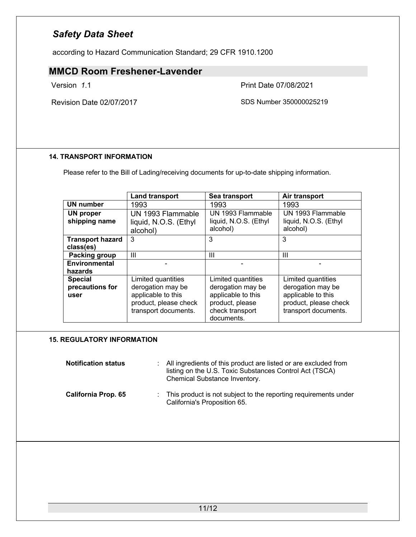according to Hazard Communication Standard; 29 CFR 1910.1200

## **MMCD Room Freshener-Lavender**

Version *1*.1 Print Date 07/08/2021

Revision Date 02/07/2017 SDS Number 350000025219

### **14. TRANSPORT INFORMATION**

Please refer to the Bill of Lading/receiving documents for up-to-date shipping information.

|                                      | <b>Land transport</b>                                  | Sea transport                                          | Air transport                                          |
|--------------------------------------|--------------------------------------------------------|--------------------------------------------------------|--------------------------------------------------------|
| <b>UN number</b>                     | 1993                                                   | 1993                                                   | 1993                                                   |
| <b>UN proper</b><br>shipping name    | UN 1993 Flammable<br>liquid, N.O.S. (Ethyl<br>alcohol) | UN 1993 Flammable<br>liquid, N.O.S. (Ethyl<br>alcohol) | UN 1993 Flammable<br>liquid, N.O.S. (Ethyl<br>alcohol) |
| <b>Transport hazard</b><br>class(es) | 3                                                      | 3                                                      | 3                                                      |
| <b>Packing group</b>                 | Ш                                                      | Ш                                                      | $\mathbf{III}$                                         |
| <b>Environmental</b>                 |                                                        |                                                        |                                                        |
| hazards                              |                                                        |                                                        |                                                        |
| <b>Special</b>                       | Limited quantities                                     | Limited quantities                                     | Limited quantities                                     |
| precautions for                      | derogation may be                                      | derogation may be                                      | derogation may be                                      |
| user                                 | applicable to this                                     | applicable to this                                     | applicable to this                                     |
|                                      | product, please check                                  | product, please                                        | product, please check                                  |
|                                      | transport documents.                                   | check transport<br>documents.                          | transport documents.                                   |

#### **15. REGULATORY INFORMATION**

| <b>Notification status</b> | : All ingredients of this product are listed or are excluded from<br>listing on the U.S. Toxic Substances Control Act (TSCA)<br>Chemical Substance Inventory. |
|----------------------------|---------------------------------------------------------------------------------------------------------------------------------------------------------------|
| <b>California Prop. 65</b> | : This product is not subject to the reporting requirements under<br>California's Proposition 65.                                                             |